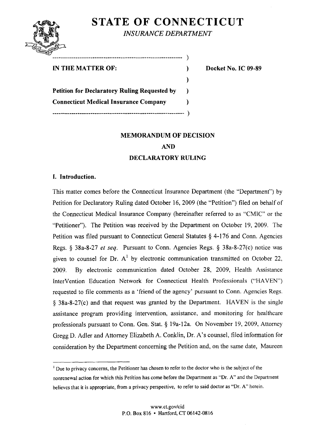# STATE OF CONNECTICUT

 $\lambda$ 

 $\lambda$ 

 $\lambda$ 

INSURANCE DEPARTMENT



## IN THE MATTER OF:  $\qquad \qquad$  Docket No. IC 09-89

Petition for Declaratory Ruling Requested by Connecticut Medical Insurance Company 

# MEMORANDUM OF DECISION

AND

DECLARATORY RULING

# I. Introduction.

This matter comes before the Connecticut Insurance Department (the "Department") by Petition for Declaratory Ruling dated October 16, 2009 (the "Petition") filed on behalf of the Connecticut Medical Insurance Company (hereinafter referred to as "CMIC" or the "Petitioner"). The Petition was received by the Department on October 19, 2009. The Petition was filed pursuant to Connecticut General Statutes  $\S$  4-176 and Conn. Agencies Regs.  $\S$  38a-8-27 *et seq.* Pursuant to Conn. Agencies Regs.  $\S$  38a-8-27(c) notice was given to counsel for Dr.  $A<sup>1</sup>$  by electronic communication transmitted on October 22, 2009. By electronic communication dated October 28, 2009, Health Assistance InterVention Education Network for Connecticut Health Professionals ("HAVEN") requested to file comments as a 'friend of the agency' pursuant to Conn. Agencies Regs. 38a-8-27(c) and that request was granted by the Department. HAVEN is the single assistance program providing intervention, assistance, and monitoring for healthcare professionals pursuant to Conn. Gen. Stat.  $\S$  19a-12a. On November 19, 2009, Attorney Gregg D. Adler and Attorney Elizabeth A. Conklin, Dr. A's counsel, filed information for consideration by the Department concerning the Petition and, on the same date, Maureen

<sup>&</sup>lt;sup>1</sup> Due to privacy concerns, the Petitioner has chosen to refer to the doctor who is the subject of the nonrenewal action for which this Petition has come before the Department as "Dr. A" and the Department believes that it is appropriate, from a privacy perspective, to refer to said doctor as "Dr. A" herein.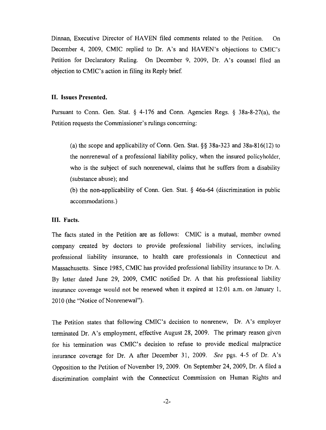Dinnan, Executive Director of HAVEN filed comments related to the Petition. On December 4, 2009, CMIC replied to Dr. A's and HAVEN's objections to CMIC's Petition for Declaratory Ruling. On December 9, 2009, Dr. A's counsel filed an objection to CMIC's action in filing its Reply brief.

#### II. Issues Presented.

Pursuant to Conn. Gen. Stat.  $\S$  4-176 and Conn. Agencies Regs.  $\S$  38a-8-27(a), the Petition requests the Commissioner's rulings concerning:

(a) the scope and applicability of Conn. Gen. Stat. §§ 38a-323 and 38a-816(12) to the nonrenewal of a professional liability policy, when the insured policyholder, who is the subject of such nonrenewal, claims that he suffers from a disability (substance abuse); and

(b) the non-applicability of Conn. Gen. Stat.  $\S$  46a-64 (discrimination in public accommodations.)

#### III. Facts.

The facts stated in the Petition are as follows: CMIC is a mutual, member owned company created by doctors to provide professional liability services, including professional liability insurance, to health care professionals in Connecticut and Massachusetts. Since 1985, CMIC has provided professional liability insurance to Dr. A. By letter dated June 29, 2009, CMIC notified Dr. A that his professional liability insurance coverage would not be renewed when it expired at 12:01 a.m. on January 1, 2010 (the "Notice of Nonrenewal").

The Petition states that following CMIC's decision to nonrenew, Dr. A's employer terminated Dr. A's employment, effective August 28, 2009. The primary reason given for his termination was CMIC's decision to refuse to provide medical malpractice insurance coverage for Dr. A after December 31, 2009. See pgs. 4-5 of Dr. A's Opposition to the Petition of November 19, 2009. On September 24, 2009, Dr. A filed a discrimination complaint with the Connecticut Commission on Human Rights and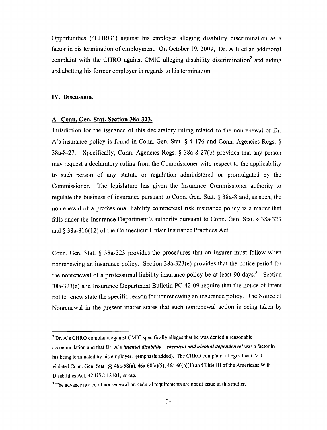Opportunities ("CHRO") against his employer alleging disability discrimination as factor in his termination of employment. On October 19, 2009, Dr. A filed an additional complaint with the CHRO against CMIC alleging disability discrimination<sup>2</sup> and aiding and abetting his former employer in regards to his termination.

### IV. Discussion.

### A. Conn. Gen. Stat. Section 38a-323.

Jurisdiction for the issuance of this declaratory ruling related to the nonrenewal of Dr. A's insurance policy is found in Conn. Gen. Stat.  $\frac{6}{7}$  4-176 and Conn. Agencies Regs.  $\frac{6}{7}$ 38a-8-27. Specifically, Conn. Agencies Regs. 38a-8-27(b) provides that any person may request declaratory ruling from the Commissioner with respect to the applicability to such person of any statute or regulation administered or promulgated by the Commissioner. The legislature has given the Insurance Commissioner authority to regulate the business of insurance pursuant to Conn. Gen. Stat.  $\S$  38a-8 and, as such, the nonrenewal of a professional liability commercial risk insurance policy is a matter that falls under the Insurance Department's authority pursuant to Conn. Gen. Stat.  $\S$  38a-323 and  $\S$  38a-816(12) of the Connecticut Unfair Insurance Practices Act.

Conn. Gen. Stat.  $\S$  38a-323 provides the procedures that an insurer must follow when nonrenewing an insurance policy. Section 38a-323(e) provides that the notice period for the nonrenewal of a professional liability insurance policy be at least 90 days.<sup>3</sup> Section 38a-323(a) and Insurance Department Bulletin PC-42-09 require that the notice of intent not to renew state the specific reason for nonrenewing an insurance policy. The Notice of Nonrenewal in the present matter states that such nonrenewal action is being taken by

 $<sup>2</sup>$  Dr. A's CHRO complaint against CMIC specifically alleges that he was denied a reasonable</sup> accommodation and that Dr. A's 'mental disability-chemical and alcohol dependence' was a factor in his being terminated by his employer, (emphasis added). The CHRO complaint alleges that CMIC violated Conn. Gen. Stat. §§ 46a-58(a), 46a-60(a)(5), 46a-60(a)(l) and Title HI of the Americans With Disabilities Act, 42 USC 12101, *et seq.* 

The advance notice of nonrenewal procedural requirements are not at issue in this matter.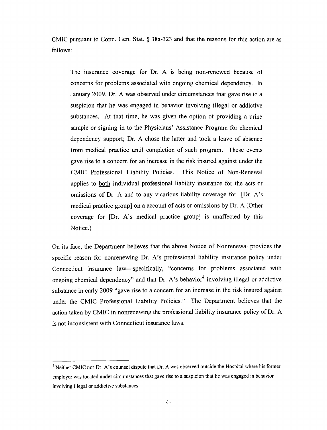CMIC pursuant to Conn. Gen. Stat.  $\S$  38a-323 and that the reasons for this action are as follows:

The insurance coverage for Dr. A is being non-renewed because of concerns for problems associated with ongoing chemical dependency. In January 2009, Dr. A was observed under circumstances that gave rise to a suspicion that he was engaged in behavior involving illegal or addictive substances. At that time, he was given the option of providing a urine sample or signing in to the Physicians' Assistance Program for chemical dependency support; Dr. A chose the latter and took a leave of absence from medical practice until completion of such program. These events gave rise to a concern for an increase in the risk insured against under the CMIC Professional Liability Policies. This Notice of Non-Renewal applies to both individual professional liability insurance for the acts or omissions of Dr. A and to any vicarious liability coverage for [Dr. A's medical practice group) on a account of acts or omissions by Dr. A (Other coverage for [Dr. A's medical practice group] is unaffected by this Notice.)

On its face, the Department believes that the above Notice of Nonrenewal provides the specific reason for nonrenewing Dr. A's professional liability insurance policy under Connecticut insurance law—specifically, "concerns for problems associated with ongoing chemical dependency" and that Dr. A's behavior<sup>4</sup> involving illegal or addictive substance in early 2009 "gave rise to a concern for an increase in the risk insured against under the CMIC Professional Liability Policies." The Department believes that the action taken by CMIC in nonrenewing the professional liability insurance policy of Dr. is not inconsistent with Connecticut insurance laws.

<sup>&</sup>lt;sup>4</sup> Neither CMIC nor Dr. A's counsel dispute that Dr. A was observed outside the Hospital where his former employer was located under circumstances that gave rise to a suspicion that he was engaged in behavior involving illegal or addictive substances.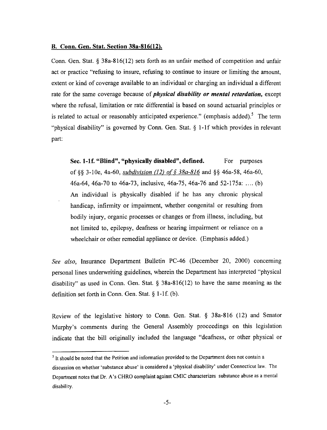#### B. Conn. Gen. Stat. Section 38a-816(12).

Conn. Gen. Stat.  $\S 38a-816(12)$  sets forth as an unfair method of competition and unfair act or practice "refusing to insure, refusing to continue to insure or limiting the amount, extent or kind of coverage available to an individual or charging an individual a different rate for the same coverage because of *physical disability or mental retardation*, except where the refusal, limitation or rate differential is based on sound actuarial principles or is related to actual or reasonably anticipated experience." (emphasis added).<sup>5</sup> The term "physical disability" is governed by Conn. Gen. Stat.  $\S$  1-1f which provides in relevant part:

Sec. 1-1f. "Blind", "physically disabled", defined. For purposes of §§ 3-10e, 4a-60, *subdivision (12) of § 38a-816* and §§ 46a-58, 46a-60, 46a-64, 46a-70 to 46a-73, inclusive, 46a-75, 46a-76 and 52-175a: .... (b) An individual is physically disabled if he has any chronic physical handicap, infirmity or impairment, whether congenital or resulting from bodily injury, organic processes or changes or from illness, including, but not limited to, epilepsy, deafness or hearing impairment or reliance on wheelchair or other remedial appliance or device. (Emphasis added.)

See also, Insurance Department Bulletin PC-46 (December 20, 2000) concerning personal lines underwriting guidelines, wherein the Department has interpreted "physical disability" as used in Conn. Gen. Stat.  $\S$  38a-816(12) to have the same meaning as the definition set forth in Conn. Gen. Stat.  $\S 1-1$ f. (b).

Review of the legislative history to Conn. Gen. Stat. § 38a-816 (12) and Senator Murphy's comments during the General Assembly proceedings on this legislation indicate that the bill originally included the language "deafness, or other physical or

 $<sup>5</sup>$  It should be noted that the Petition and information provided to the Department does not contain a</sup>

discussion on whether 'substance abuse' is considered a 'physical disability' under Connecticut law. The Department notes that Dr. A's CHRO complaint against CMIC characterizes substance abuse as mental disability.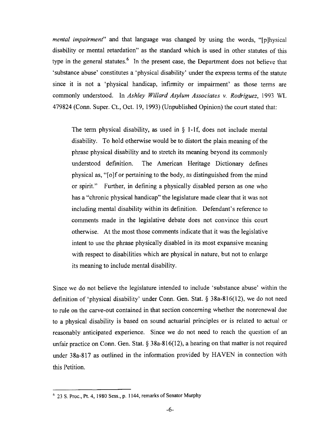mental impairment" and that language was changed by using the words, "[p]hysical disability or mental retardation" as the standard which is used in other statutes of this type in the general statutes.<sup>6</sup> In the present case, the Department does not believe that 'substance abuse' constitutes a 'physical disability' under the express terms of the statute since it is not a 'physical handicap, infirmity or impairment' as those terms are commonly understood. In Ashley Willard Asylum Associates v. Rodriguez, <sup>1993</sup> WL 479824 (Conn. Super. Ct, Oct. 19, 1993) (Unpublished Opinion) the court stated that:

The term physical disability, as used in  $\S$  1-1f, does not include mental disability. To hold otherwise would be to distort the plain meaning of the phrase physical disability and to stretch its meaning beyond its commonly understood definition. The American Heritage Dictionary defines physical as, "[o]f or pertaining to the body, as distinguished from the mind or spirit." Further, in defining a physically disabled person as one who has a "chronic physical handicap" the legislature made clear that it was not including mental disability within its definition. Defendant's reference to comments made in the legislative debate does not convince this court otherwise. At the most those comments indicate that it was the legislative intent to use the phrase physically disabled in its most expansive meaning with respect to disabilities which are physical in nature, but not to enlarge its meaning to include mental disability.

Since we do not believe the legislature intended to include 'substance abuse' within the definition of 'physical disability' under Conn. Gen. Stat.  $\S$  38a-816(12), we do not need to rule on the carve-out contained in that section concerning whether the nonrenewal due to a physical disability is based on sound actuarial principles or is related to actual or reasonably anticipated experience. Since we do not need to reach the question of an unfair practice on Conn. Gen. Stat.  $\S$  38a-816(12), a hearing on that matter is not required under 38a-817 as outlined in the information provided by HAVEN in connection with this Petition.

<sup>23</sup> S. Proc, Pt. 4, 1980 Sess., p. 1144, remarks of Senator Murphy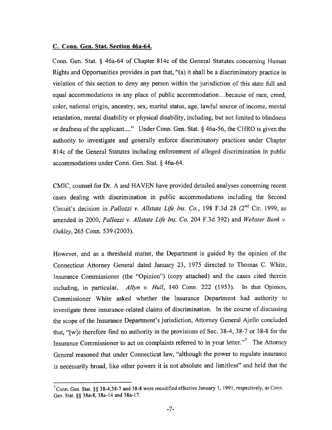#### C. Conn. Gen. Stat. Section 46a-64.

Conn. Gen. Stat. § 46a-64 of Chapter 814c of the General Statutes concerning Human Rights and Opportunities provides in part that, "(a) it shall be discriminatory practice in violation of this section to deny any person within the jurisdiction of this state full and equal accommodations in any place of public accommodation...because of race, creed, color, national origin, ancestry, sex, marital status, age, lawful source of income, mental retardation, mental disability or physical disability, including, but not limited to blindness or deafness of the applicant...." Under Conn. Gen. Stat.  $\S$  46a-56, the CHRO is given the authority to investigate and generally enforce discriminatory practices under Chapter 814c of the General Statutes including enforcement of alleged discrimination in public accommodations under Conn. Gen. Stat.  $\S$  46a-64.

CMIC, counsel for Dr. A and HAVEN have provided detailed analyses concerning recent cases dealing with discrimination in public accommodations including the Second Circuit's decision in *Pallozzi v. Allstate Life Ins. Co.*, 198 F.3d 28 (2<sup>nd</sup> Cir. 1999, as amended in 2000, Pallozzi v. Allstate Life Ins. Co, 204 F.3d 392) and Webster Bank v. Oakley, 265 Conn. 539 (2003).

However, and as threshold matter, the Department is guided by the opinion of the Connecticut Attorney General dated January 23, 1975 directed to Thomas C. White, Insurance Commissioner (the "Opinion") (copy attached) and the cases cited therein including, in particular, Allyn v. Hull, 140 Conn. 222 (1953). In that Opinion, Commissioner White asked whether the Insurance Department had authority to investigate three insurance-related claims of discrimination. In the course of discussing the scope of the Insurance Department's jurisdiction, Attorney General Ajello concluded that, "[w]e therefore find no authority in the provisions of Sec. 38-4, 38-7 or 38-8 for the Insurance Commissioner to act on complaints referred to in your letter."7 The Attorney General reasoned that under Connecticut law, "although the power to regulate insurance is necessarily broad, like other powers it is not absolute and limitless" and held that the

 $<sup>7</sup>$  Conn. Gen. Stat. §§ 38-4,38-7 and 38-8 were recodified effective January 1, 1991, respectively, as Conn.</sup> Gen. Stat. §§ 38a-8, 38a-14 and 38a-17.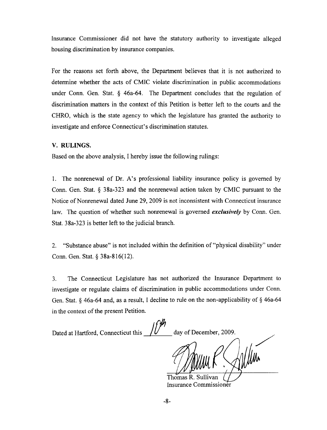Insurance Commissioner did not have the statutory authority to investigate alleged housing discrimination by insurance companies.

For the reasons set forth above, the Department believes that it is not authorized to determine whether the acts of CMIC violate discrimination in public accommodations under Conn. Gen. Stat.  $\delta$  46a-64. The Department concludes that the regulation of discrimination matters in the context of this Petition is better left to the courts and the CHRO, which is the state agency to which the legislature has granted the authority to investigate and enforce Connecticut's discrimination statutes.

## V. RULINGS.

Based on the above analysis, hereby issue the following rulings:

1. The nonrenewal of Dr. A's professional liability insurance policy is governed by Conn. Gen. Stat.  $\S$  38a-323 and the nonrenewal action taken by CMIC pursuant to the Notice of Nonrenewal dated June 29, 2009 is not inconsistent with Connecticut insurance law. The question of whether such nonrenewal is governed exclusively by Conn. Gen. Stat. 38a-323 is better left to the judicial branch.

2. "Substance abuse" is not included within the definition of "physical disability" under Conn. Gen. Stat.  $\S$  38a-816(12).

3. The Connecticut Legislature has not authorized the Insurance Department to investigate or regulate claims of discrimination in public accommodations under Conn. Gen. Stat.  $\S$  46a-64 and, as a result, I decline to rule on the non-applicability of  $\S$  46a-64 in the context of the present Petition.

Dated at Hartford, Connecticut this  $\frac{f}{\sqrt{2}}$  day of December, 2009. Thomas R. Sulli

Insurance Commissioner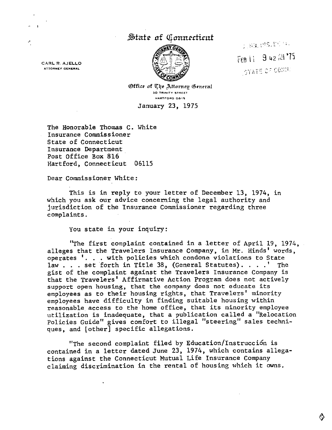# nt *c*inntrattittit



1,89,015.1524. FEB 11 9 42 AH '75 **STATE OF CONNU** 

CARL R. AJELLO ATTORNEY GENERAL

P,

Office of The Attorney General 30 TRINrTV 5THEET HARTrORO O6M5

January 23, 1975

The Honorable Thomas C. White Insurance Commissioner State of Connecticut Insurance Department Post Office Box 816 Hartford, Connecticut 06115

Dear Commissioner White:

This is in reply to your letter of December 13, 1974, in which you ask our advice concerning the legal authority and jurisdiction of the Insurance Commissioner regarding three complaints.

You state in your inquiry:

 $\ddot{\phantom{0}}$ 

"The first complaint contained in a letter of April 19, 1974, alleges that the Travelers Insurance Company, in Mr. Hinds' words, operates '. . . with policies which condone violations to State law  $\ldots$  set forth in Title 38, (General Statutes). ...' The gist of the complaint against the Travelers Insurance Company is that the Travelers' Affirmative Action Program does not actively support open housing, that the company does not educate its employees as to their housing rights, that Travelers' minority employees have difficulty in finding suitable housing within reasonable access to the home office, that its minority employee utilization is inadequate, that a publication called a "Relocation Policies Guide" gives comfort to illegal "steering" sales techni ques, and [other] specific allegations.

"The second complaint filed by Education/instruceion is contained in letter dated June 23, 1974, which contains allega tions against the Connecticut Mutual Life Insurance Company claiming discrimination in the rental of housing x^hich it owns.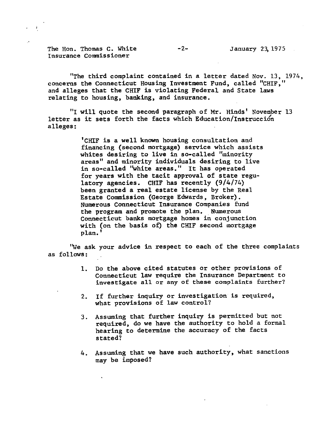The Hon. Thomas C. White  $-2-$  January 23, 1975 Insurance Commissioner

"The third complaint contained in a letter dated Nov. 13, 1974, concerns the Connecticut Housing Investment Fund, called "CHIF, and alleges that the CHIF is violating Federal and State laws relating to housing, banking, and insurance.

"I will quote the second paragraph of Mr. Hinds' November 13 letter as it sets forth the facts which Education/Instrucción alleges:

> 'CHIF is a well known housing consultation and financing (second mortgage) service which assists whites desiring to live in so-called "minority areas" and minority individuals desiring to live in so-called "white areas." It has operated for years with the tacit approval of state regu latory agencies. CHIF has recently (9/4/74) been granted a real estate license by the Real Estate Commission (George Edwards, Broker). Numerous Connecticut Insurance Companies fund the program and promote the plan. Numerous Connecticut banks mortgage homes in conjunction with (on the basis of) the CHIF second mortgage plan.'

"We ask your advice in respect to each of the three complaints as follows:

- 1. Do the above cited statutes or other provisions of Connecticut law require the Insurance Department to investigate all or any of these complaints further?
- 2. If further inquiry or investigation is required, what provisions of law control?
- 3. Assuming that further inquiry is permitted but not required, do we have the authority to hold a formal hearing to determine the accuracy of the facts stated?
- 4. Assuming that we have such authority, what sanctions may be imposed?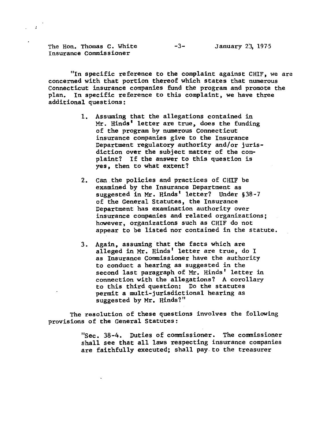The Hon. Thomas C. White  $-3-$  January 23, 1975 Insurance Commissioner

"In specific reference to the complaint against CHIF, we are concerned with that portion thereof which states that numerous Connecticut insurance companies fund the program and promote the plan. In specific reference to this complaint, we have three additional questions:

- 1. Assuming that the allegations contained in Mr. Hinds' letter are true, does the funding of the program by numerous Connecticut insurance companies give to the Insurance Department regulatory authority and/or juris diction over the subject matter of the com plaint? If the answer to this question is yes, then to what extent?
- 2. Can the policies and practices of CHIF be examined by the Insurance Department as suggested in Mr. Hinds' letter? Under §38-7 of the General Statutes, the Insurance Department has examination authority over insurance companies and related organizations; however, organizations such as CHIF do not appear to be listed nor contained in the statute.
- 3. Again, assuming that the facts which are alleged in Mr. Hinds' letter are true, do I as Insurance Commissioner have the authority to conduct a hearing as suggested in the second last paragraph of Mr. Hinds' letter in connection with the allegations? A corollary to this third question: Do the statutes permit a multi-jurisdictional hearing as suggested by Mr. Hinds?"

The resolution of these questions involves the following provisions of the General Statutes:

> "Sec. 38-4. Duties of commissioner. The commissioner shall see that all laws respecting insurance companies are faithfully executed; shall pay.to the treasurer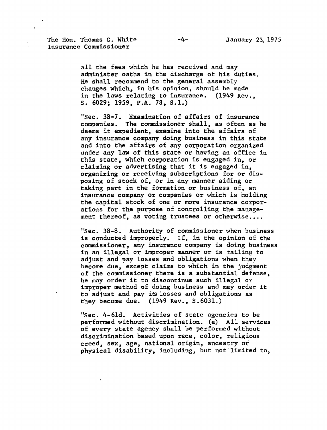The Hon. Thomas C. White  $-4-$  January 23, 1975 Insurance Commissioner

all the fees which he has received and may administer oaths in the discharge of his duties. He shall recommend to the general assembly changes which, in his opinion, should be made in the laws relating to insurance. (1949 Rev., S. 6029; 1959, P.A. 78, S.I.)

"Sec. 38-7. Examination of affairs of insurance companies. The commissioner shall, as often as he deems it expedient, examine into the affairs of any insurance company doing business in this state and into the affairs of any corporation organized under any law of this state or having an office in this state, which corporation is engaged in, or claiming or advertising that it is engaged in, organizing or receiving subscriptions for or dis posing of stock of, or in any manner aiding or taking part in the formation or business of, an insurance company or companies or which is holding the capital stock of one or more insurance corpor ations for the purpose of controlling the manage ment thereof, as voting trustees or otherwise....

"Sec. 38-8. Authority of commissioner when business is conducted improperly. If, in the opinion of the commissioner, any insurance company is doing business in an illegal or improper manner or is failing to adjust and pay losses and obligations when they become due, except claims to which in the judgment of the commissioner there is a substantial defense. he may order it to discontinue such illegal or improper method of doing business and may order it to adjust and pay its losses and obligations as they become due. (1949 Rev., S.6031.)

"Sec. 4-61d. Activities of state agencies to be performed without discrimination, (a) All services of every state agency shall be performed without discrimination based upon race, color, religious creed, sex, age, national origin, ancestry or physical disability, including, but not limited to,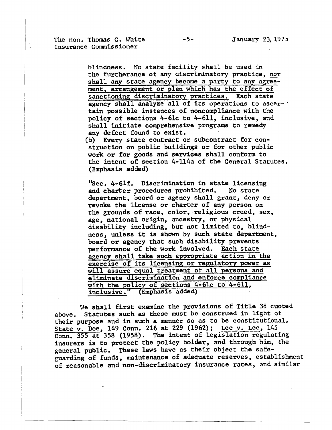The Hon. Thomas C. White  $-5$ - January 23, 1975 Insurance Commissioner

> blindness. No state facility shall be used in the furtherance of any discriminatory practice, nor shall any state agency become a party to any agreement, arrangement or plan which has the effect of sanctioning discriminatory practices. Each state agency shall analyze all of its operations to ascer tain possible instances of noncompliance with the policy of sections 4-61c to 4-611, inclusive, and shall initiate comprehensive programs to remedy any defect found to exist.

(b) Every state contract or subcontract for construction on public buildings or for other public work or for goods and services shall conform to the intent of section 4-114a of the General Statutes. (Emphasis added)

"Sec. 4-61f. Discrimination in state licensing and charter procedures prohibited. No state department, board or agency shall grant, deny or revoke the license or charter of any person on the grounds of race, color, religious creed, sex, age, national origin, ancestry, or physical disability including, but not limited to, blind ness, unless it is shown by such state department, board or agency that such disability prevents performance of the work involved. Each state agency shall take such appropriate action in the exercise of its licensing or regulatory power as will assure equal treatment of all persons and eliminate discrimination and enforce compliance with the policy of sections 4-61c to 4-611, inclusive." (Emphasis added)

We shall first examine the provisions of Title 38 quoted above. Statutes such as these must be construed in light of their purpose and in such a manner so as to be constitutional. State v. Doe, 149 Conn. 216 at 229 (1962); Lee v. Lee, 145 Conn. 355 at 358 (1958). The intent of legislation regulating insurers is to protect the policy holder, and through him, the general public. These laws have as their object the safe guarding of funds, maintenance of adequate reserves, establishment of reasonable and non-discriminatory insurance rates, and similar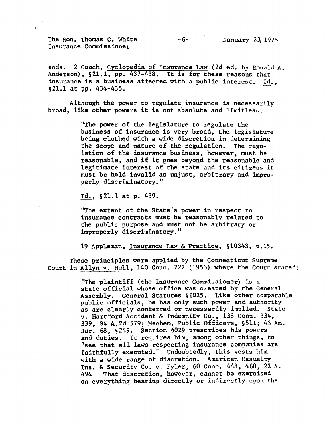The Hon. Thomas C. White  $-6$ - January 23, 1975 Insurance Commissioner

ends. 2 Couch, Cyclopedia of Insurance Law (2d ed. by Ronald A. Anderson), §21.1, pp. 437-438. It is for these reasons that insurance is a business affected with a public interest. Id., §21.1 at pp. 434-435.

Although the power to regulate insurance is necessarily broad, like other powers it is not absolute and limitless.

> "The power of the legislature to regulate the business of insurance is very broad, the legislature being clothed with a wide discretion in determining the scope and nature of the regulation. The regu lation of the insurance business, however, must be reasonable, and if it goes beyond the reasonable and legitimate interest of the state and its citizens it must be held invalid as unjust, arbitrary and impro perly discriminatory."

Id., §21.1 at p. 439.

"The extent of the State's power in respect to insurance contracts must be reasonably related to the public purpose and must not be arbitrary or improperly discriminatory."

19 Appleman. Insurance Law & Practice, §10343, p.15.

These principles were applied by the Connecticut Supreme Court in Allyn v. Hull, 140 Conn. 222 (1953) where the Court stated:

> "The plaintiff (the Insurance Commissioner) is state official whose office was created by the General Assembly. General Statutes §6025. Like other comparable public officials, he has only such power and authority as are clearly conferred or necessarily implied. State v. Hartford Accident & Indemnity Co., 138 Conn. 334, 339, 84 A.2d 579; Mechera, Public Officers, §511; 43 Am. Jur. 68, §249. Section 6029 prescribes his powers and duties. It requires him, among other things, to "see that all laws respecting insurance companies are faithfully executed." Undoubtedly, this vests him with a wide range of discretion. American Casualty Ins. & Security Co. v. Fyler,  $60$  Conn.  $448$ ,  $460$ ,  $22$  A. 494. That discretion, however, cannot be exercised on everything bearing directly or indirectly upon the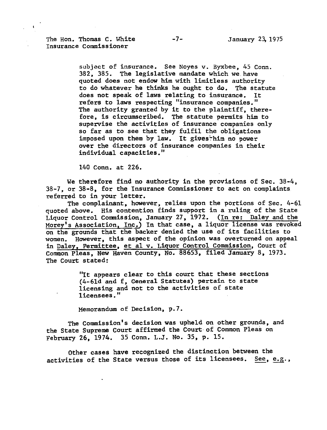The Hon. Thomas C. White  $-7$ - January 23, 1975 Insurance Commissioner

subject of insurance. See Noyes v. Byxbee, 45 Conn. 382, 385. The legislative mandate which we have quoted does not endow him with limitless authority to do whatever he thinks he ought to do. The statute does not speak of laws relating to insurance. It refers to laws respecting "insurance companies." The authority granted by it to the plaintiff, therefore, is circumscribed. The statute permits him to supervise the activities of insurance companies only so far as to see that they fulfil the obligations imposed upon them by law. It gives him no power over the directors of insurance companies in their individual capacities."

140 Conn, at 226.

We therefore find no authority in the provisions of Sec. 38-4. 38-7, or 38-8, for the Insurance Commissioner to act on complaints referred to in your letter.

The complainant, however, relies upon the portions of Sec. 4-61 quoted above. His contention finds support in a ruling of the State Liquor Control Commission, January 27, 1972. (In re; Daley and the Morey's Association, Inc.) In that case, a liquor license was revoked on the grounds that the backer denied the use of its facilities to women. However, this aspect of the opinion was overturned on appeal in Daley, Permittee, et al v. Liquor Control Commission, Court of Common Pleas, New Haven County, No. 88653, filed January 8, 1973. The Court stated:

> "It appears clear to this court that these sections (4-61d and f, General Statutes) pertain to state licensing and not to the activities of state licensees."

Memorandum of Decision, p.7.

The Commission's decision was upheld on other grounds, and the State Supreme Court affirmed the Court of Common Pleas on February 26, 1974. 35 Conn. L.J. No. 35, p. 15.

Other cases have recognized the distinction between the activities of the State versus those of its licensees. See, e.g.,